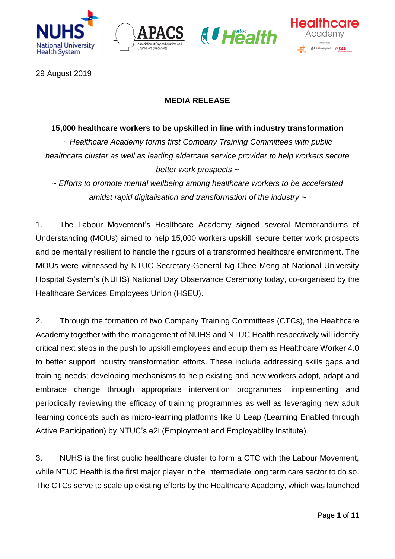







29 August 2019

# **MEDIA RELEASE**

## **15,000 healthcare workers to be upskilled in line with industry transformation**

*~ Healthcare Academy forms first Company Training Committees with public healthcare cluster as well as leading eldercare service provider to help workers secure better work prospects ~* 

*~ Efforts to promote mental wellbeing among healthcare workers to be accelerated amidst rapid digitalisation and transformation of the industry ~*

1. The Labour Movement's Healthcare Academy signed several Memorandums of Understanding (MOUs) aimed to help 15,000 workers upskill, secure better work prospects and be mentally resilient to handle the rigours of a transformed healthcare environment. The MOUs were witnessed by NTUC Secretary-General Ng Chee Meng at National University Hospital System's (NUHS) National Day Observance Ceremony today, co-organised by the Healthcare Services Employees Union (HSEU).

2. Through the formation of two Company Training Committees (CTCs), the Healthcare Academy together with the management of NUHS and NTUC Health respectively will identify critical next steps in the push to upskill employees and equip them as Healthcare Worker 4.0 to better support industry transformation efforts. These include addressing skills gaps and training needs; developing mechanisms to help existing and new workers adopt, adapt and embrace change through appropriate intervention programmes, implementing and periodically reviewing the efficacy of training programmes as well as leveraging new adult learning concepts such as micro-learning platforms like U Leap (Learning Enabled through Active Participation) by NTUC's e2i (Employment and Employability Institute).

3. NUHS is the first public healthcare cluster to form a CTC with the Labour Movement, while NTUC Health is the first major player in the intermediate long term care sector to do so. The CTCs serve to scale up existing efforts by the Healthcare Academy, which was launched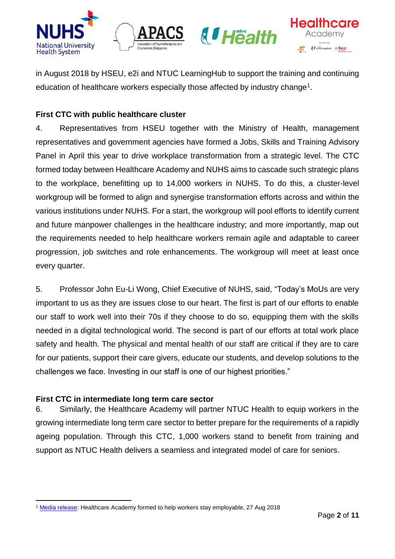







in August 2018 by HSEU, e2i and NTUC LearningHub to support the training and continuing education of healthcare workers especially those affected by industry change<sup>1</sup>.

# **First CTC with public healthcare cluster**

4. Representatives from HSEU together with the Ministry of Health, management representatives and government agencies have formed a Jobs, Skills and Training Advisory Panel in April this year to drive workplace transformation from a strategic level. The CTC formed today between Healthcare Academy and NUHS aims to cascade such strategic plans to the workplace, benefitting up to 14,000 workers in NUHS. To do this, a cluster-level workgroup will be formed to align and synergise transformation efforts across and within the various institutions under NUHS. For a start, the workgroup will pool efforts to identify current and future manpower challenges in the healthcare industry; and more importantly, map out the requirements needed to help healthcare workers remain agile and adaptable to career progression, job switches and role enhancements. The workgroup will meet at least once every quarter.

5. Professor John Eu-Li Wong, Chief Executive of NUHS, said, "Today's MoUs are very important to us as they are issues close to our heart. The first is part of our efforts to enable our staff to work well into their 70s if they choose to do so, equipping them with the skills needed in a digital technological world. The second is part of our efforts at total work place safety and health. The physical and mental health of our staff are critical if they are to care for our patients, support their care givers, educate our students, and develop solutions to the challenges we face. Investing in our staff is one of our highest priorities."

# **First CTC in intermediate long term care sector**

6. Similarly, the Healthcare Academy will partner NTUC Health to equip workers in the growing intermediate long term care sector to better prepare for the requirements of a rapidly ageing population. Through this CTC, 1,000 workers stand to benefit from training and support as NTUC Health delivers a seamless and integrated model of care for seniors.

**<sup>.</sup>** <sup>1</sup> [Media release:](https://www.ntuc.org.sg/wps/portal/up2/home/news/mediareleases/mediareleasesdetails?WCM_GLOBAL_CONTEXT=/Content_Library/ntuc/home/about%20ntuc/newsroom/media%20releases/cd1d9235-efd6-4f71-8182-1a8fbd47abd6) Healthcare Academy formed to help workers stay employable, 27 Aug 2018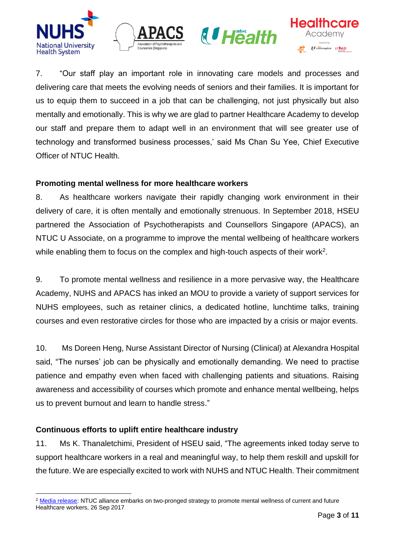







7. "Our staff play an important role in innovating care models and processes and delivering care that meets the evolving needs of seniors and their families. It is important for us to equip them to succeed in a job that can be challenging, not just physically but also mentally and emotionally. This is why we are glad to partner Healthcare Academy to develop our staff and prepare them to adapt well in an environment that will see greater use of technology and transformed business processes,' said Ms Chan Su Yee, Chief Executive Officer of NTUC Health.

# **Promoting mental wellness for more healthcare workers**

8. As healthcare workers navigate their rapidly changing work environment in their delivery of care, it is often mentally and emotionally strenuous. In September 2018, HSEU partnered the Association of Psychotherapists and Counsellors Singapore (APACS), an NTUC U Associate, on a programme to improve the mental wellbeing of healthcare workers while enabling them to focus on the complex and high-touch aspects of their work<sup>2</sup>.

9. To promote mental wellness and resilience in a more pervasive way, the Healthcare Academy, NUHS and APACS has inked an MOU to provide a variety of support services for NUHS employees, such as retainer clinics, a dedicated hotline, lunchtime talks, training courses and even restorative circles for those who are impacted by a crisis or major events.

10. Ms Doreen Heng, Nurse Assistant Director of Nursing (Clinical) at Alexandra Hospital said, "The nurses' job can be physically and emotionally demanding. We need to practise patience and empathy even when faced with challenging patients and situations. Raising awareness and accessibility of courses which promote and enhance mental wellbeing, helps us to prevent burnout and learn to handle stress."

# **Continuous efforts to uplift entire healthcare industry**

11. Ms K. Thanaletchimi, President of HSEU said, "The agreements inked today serve to support healthcare workers in a real and meaningful way, to help them reskill and upskill for the future. We are especially excited to work with NUHS and NTUC Health. Their commitment

<sup>1</sup> <sup>2</sup> [Media release:](https://www.ntuc.org.sg/wps/portal/up2/home/news/mediareleases/mediareleasesdetails?WCM_GLOBAL_CONTEXT=/Content_Library/ntuc/home/about%20ntuc/newsroom/media%20releases/a509f07c-9fac-4cb4-bc56-74af86628bac) NTUC alliance embarks on two-pronged strategy to promote mental wellness of current and future Healthcare workers, 26 Sep 2017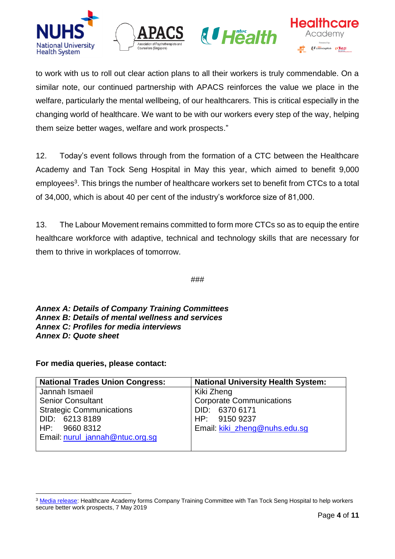







to work with us to roll out clear action plans to all their workers is truly commendable. On a similar note, our continued partnership with APACS reinforces the value we place in the welfare, particularly the mental wellbeing, of our healthcarers. This is critical especially in the changing world of healthcare. We want to be with our workers every step of the way, helping them seize better wages, welfare and work prospects."

12. Today's event follows through from the formation of a CTC between the Healthcare Academy and Tan Tock Seng Hospital in May this year, which aimed to benefit 9,000 employees<sup>3</sup>. This brings the number of healthcare workers set to benefit from CTCs to a total of 34,000, which is about 40 per cent of the industry's workforce size of 81,000.

13. The Labour Movement remains committed to form more CTCs so as to equip the entire healthcare workforce with adaptive, technical and technology skills that are necessary for them to thrive in workplaces of tomorrow.

###

*Annex A: Details of Company Training Committees Annex B: Details of mental wellness and services Annex C: Profiles for media interviews Annex D: Quote sheet*

**For media queries, please contact:** 

| <b>National Trades Union Congress:</b> | <b>National University Health System:</b> |
|----------------------------------------|-------------------------------------------|
| Jannah Ismaeil                         | Kiki Zheng                                |
| <b>Senior Consultant</b>               | <b>Corporate Communications</b>           |
| <b>Strategic Communications</b>        | DID: 6370 6171                            |
| DID: 6213 8189                         | HP: 9150 9237                             |
| HP: 9660 8312                          | Email: kiki zheng@nuhs.edu.sq             |
| Email: nurul_jannah@ntuc.org.sg        |                                           |
|                                        |                                           |

<sup>1</sup> <sup>3</sup> [Media release:](https://www.ntuc.org.sg/wps/portal/up2/home/news/mediareleases/mediareleasesdetails?WCM_GLOBAL_CONTEXT=/Content_Library/ntuc/home/about%20ntuc/newsroom/media%20releases/98d735f3-76b8-4b65-a1b1-1d8aa4cf0d4c) Healthcare Academy forms Company Training Committee with Tan Tock Seng Hospital to help workers secure better work prospects, 7 May 2019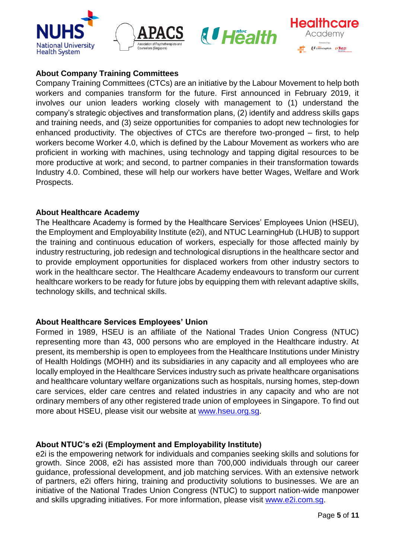







# **About Company Training Committees**

Company Training Committees (CTCs) are an initiative by the Labour Movement to help both workers and companies transform for the future. First announced in February 2019, it involves our union leaders working closely with management to (1) understand the company's strategic objectives and transformation plans, (2) identify and address skills gaps and training needs, and (3) seize opportunities for companies to adopt new technologies for enhanced productivity. The objectives of CTCs are therefore two-pronged – first, to help workers become Worker 4.0, which is defined by the Labour Movement as workers who are proficient in working with machines, using technology and tapping digital resources to be more productive at work; and second, to partner companies in their transformation towards Industry 4.0. Combined, these will help our workers have better Wages, Welfare and Work Prospects.

## **About Healthcare Academy**

The Healthcare Academy is formed by the Healthcare Services' Employees Union (HSEU), the Employment and Employability Institute (e2i), and NTUC LearningHub (LHUB) to support the training and continuous education of workers, especially for those affected mainly by industry restructuring, job redesign and technological disruptions in the healthcare sector and to provide employment opportunities for displaced workers from other industry sectors to work in the healthcare sector. The Healthcare Academy endeavours to transform our current healthcare workers to be ready for future jobs by equipping them with relevant adaptive skills, technology skills, and technical skills.

# **About Healthcare Services Employees' Union**

Formed in 1989, HSEU is an affiliate of the National Trades Union Congress (NTUC) representing more than 43, 000 persons who are employed in the Healthcare industry. At present, its membership is open to employees from the Healthcare Institutions under Ministry of Health Holdings (MOHH) and its subsidiaries in any capacity and all employees who are locally employed in the Healthcare Services industry such as private healthcare organisations and healthcare voluntary welfare organizations such as hospitals, nursing homes, step-down care services, elder care centres and related industries in any capacity and who are not ordinary members of any other registered trade union of employees in Singapore. To find out more about HSEU, please visit our website at [www.hseu.org.sg.](http://www.hseu.org.sg/)

# **About NTUC's e2i (Employment and Employability Institute)**

e2i is the empowering network for individuals and companies seeking skills and solutions for growth. Since 2008, e2i has assisted more than 700,000 individuals through our career guidance, professional development, and job matching services. With an extensive network of partners, e2i offers hiring, training and productivity solutions to businesses. We are an initiative of the National Trades Union Congress (NTUC) to support nation-wide manpower and skills upgrading initiatives. For more information, please visit [www.e2i.com.sg.](http://www.e2i.com.sg/)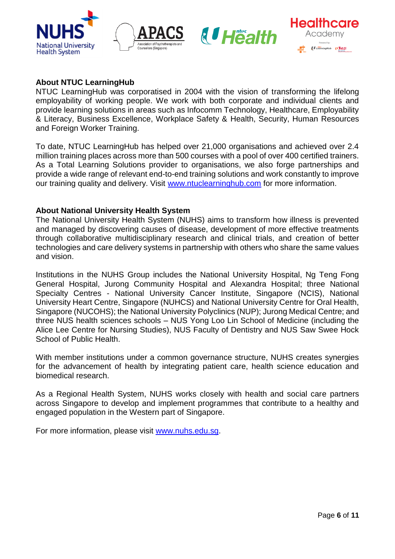







## **About NTUC LearningHub**

NTUC LearningHub was corporatised in 2004 with the vision of transforming the lifelong employability of working people. We work with both corporate and individual clients and provide learning solutions in areas such as Infocomm Technology, Healthcare, Employability & Literacy, Business Excellence, Workplace Safety & Health, Security, Human Resources and Foreign Worker Training.

To date, NTUC LearningHub has helped over 21,000 organisations and achieved over 2.4 million training places across more than 500 courses with a pool of over 400 certified trainers. As a Total Learning Solutions provider to organisations, we also forge partnerships and provide a wide range of relevant end-to-end training solutions and work constantly to improve our training quality and delivery. Visit [www.ntuclearninghub.com](http://www.ntuclearninghub.com/) for more information.

## **About National University Health System**

The National University Health System (NUHS) aims to transform how illness is prevented and managed by discovering causes of disease, development of more effective treatments through collaborative multidisciplinary research and clinical trials, and creation of better technologies and care delivery systems in partnership with others who share the same values and vision.

Institutions in the NUHS Group includes the National University Hospital, Ng Teng Fong General Hospital, Jurong Community Hospital and Alexandra Hospital; three National Specialty Centres - National University Cancer Institute, Singapore (NCIS), National University Heart Centre, Singapore (NUHCS) and National University Centre for Oral Health, Singapore (NUCOHS); the National University Polyclinics (NUP); Jurong Medical Centre; and three NUS health sciences schools – NUS Yong Loo Lin School of Medicine (including the Alice Lee Centre for Nursing Studies), NUS Faculty of Dentistry and NUS Saw Swee Hock School of Public Health.

With member institutions under a common governance structure, NUHS creates synergies for the advancement of health by integrating patient care, health science education and biomedical research.

As a Regional Health System, NUHS works closely with health and social care partners across Singapore to develop and implement programmes that contribute to a healthy and engaged population in the Western part of Singapore.

For more information, please visit [www.nuhs.edu.sg.](http://www.nuhs.edu.sg/)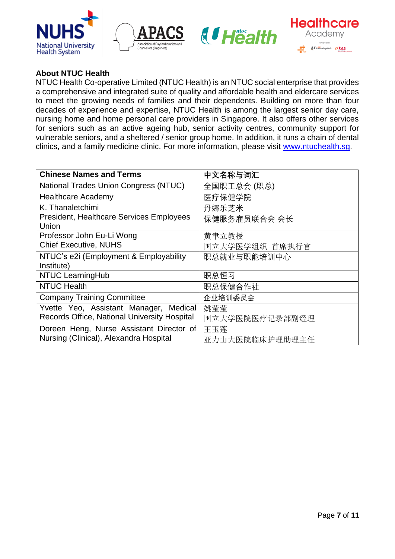







# **About NTUC Health**

NTUC Health Co-operative Limited (NTUC Health) is an NTUC social enterprise that provides a comprehensive and integrated suite of quality and affordable health and eldercare services to meet the growing needs of families and their dependents. Building on more than four decades of experience and expertise, NTUC Health is among the largest senior day care, nursing home and home personal care providers in Singapore. It also offers other services for seniors such as an active ageing hub, senior activity centres, community support for vulnerable seniors, and a sheltered / senior group home. In addition, it runs a chain of dental clinics, and a family medicine clinic. For more information, please visit [www.ntuchealth.sg.](http://www.ntuchealth.sg/)

| <b>Chinese Names and Terms</b>                  | 中文名称与词汇        |
|-------------------------------------------------|----------------|
| <b>National Trades Union Congress (NTUC)</b>    | 全国职工总会 (职总)    |
| <b>Healthcare Academy</b>                       | 医疗保健学院         |
| K. Thanaletchimi                                | 丹娜乐芝米          |
| <b>President, Healthcare Services Employees</b> | 保健服务雇员联合会 会长   |
| Union                                           |                |
| Professor John Eu-Li Wong                       | 黄聿立教授          |
| <b>Chief Executive, NUHS</b>                    | 国立大学医学组织 首席执行官 |
| NTUC's e2i (Employment & Employability          | 职总就业与职能培训中心    |
| Institute)                                      |                |
| <b>NTUC LearningHub</b>                         | 职总恒习           |
| <b>NTUC Health</b>                              | 职总保健合作社        |
| <b>Company Training Committee</b>               | 企业培训委员会        |
| Yvette Yeo, Assistant Manager, Medical          | 姚莹莹            |
| Records Office, National University Hospital    | 国立大学医院医疗记录部副经理 |
| Doreen Heng, Nurse Assistant Director of        | 王玉莲            |
| Nursing (Clinical), Alexandra Hospital          | 亚力山大医院临床护理助理主任 |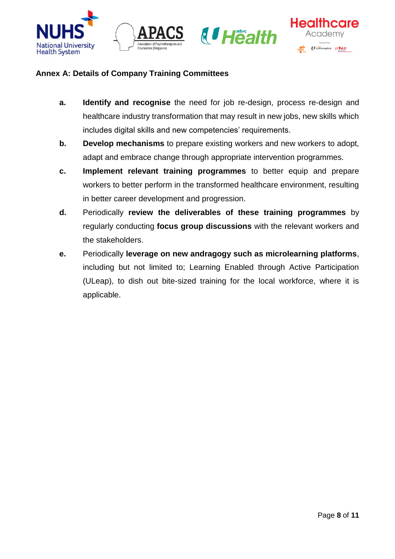







# **Annex A: Details of Company Training Committees**

- **a. Identify and recognise** the need for job re-design, process re-design and healthcare industry transformation that may result in new jobs, new skills which includes digital skills and new competencies' requirements.
- **b. Develop mechanisms** to prepare existing workers and new workers to adopt, adapt and embrace change through appropriate intervention programmes.
- **c. Implement relevant training programmes** to better equip and prepare workers to better perform in the transformed healthcare environment, resulting in better career development and progression.
- **d.** Periodically **review the deliverables of these training programmes** by regularly conducting **focus group discussions** with the relevant workers and the stakeholders.
- **e.** Periodically **leverage on new andragogy such as microlearning platforms**, including but not limited to; Learning Enabled through Active Participation (ULeap), to dish out bite-sized training for the local workforce, where it is applicable.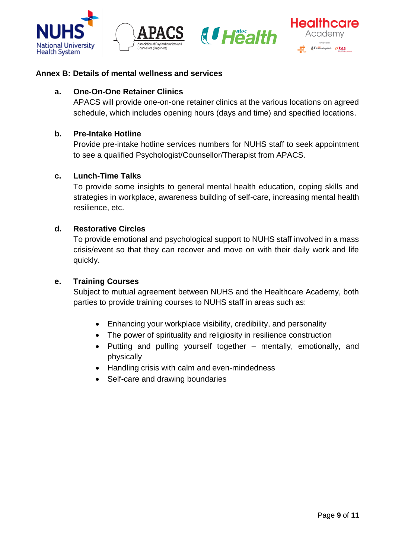







## **Annex B: Details of mental wellness and services**

## **a. One-On-One Retainer Clinics**

APACS will provide one-on-one retainer clinics at the various locations on agreed schedule, which includes opening hours (days and time) and specified locations.

## **b. Pre-Intake Hotline**

Provide pre-intake hotline services numbers for NUHS staff to seek appointment to see a qualified Psychologist/Counsellor/Therapist from APACS.

## **c. Lunch-Time Talks**

To provide some insights to general mental health education, coping skills and strategies in workplace, awareness building of self-care, increasing mental health resilience, etc.

## **d. Restorative Circles**

To provide emotional and psychological support to NUHS staff involved in a mass crisis/event so that they can recover and move on with their daily work and life quickly.

#### **e. Training Courses**

Subject to mutual agreement between NUHS and the Healthcare Academy, both parties to provide training courses to NUHS staff in areas such as:

- Enhancing your workplace visibility, credibility, and personality
- The power of spirituality and religiosity in resilience construction
- Putting and pulling yourself together mentally, emotionally, and physically
- Handling crisis with calm and even-mindedness
- Self-care and drawing boundaries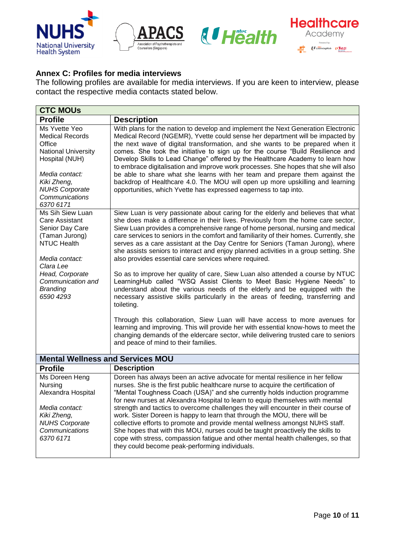







# **Annex C: Profiles for media interviews**

The following profiles are available for media interviews. If you are keen to interview, please contact the respective media contacts stated below.

| <b>CTC MOUS</b>                                                                                                                                                                                                                                                                                                                                                                                                                                                                                                                                                                                                                                                                                                                                                                                                                                                                                                                                                                                                |  |  |
|----------------------------------------------------------------------------------------------------------------------------------------------------------------------------------------------------------------------------------------------------------------------------------------------------------------------------------------------------------------------------------------------------------------------------------------------------------------------------------------------------------------------------------------------------------------------------------------------------------------------------------------------------------------------------------------------------------------------------------------------------------------------------------------------------------------------------------------------------------------------------------------------------------------------------------------------------------------------------------------------------------------|--|--|
| <b>Description</b>                                                                                                                                                                                                                                                                                                                                                                                                                                                                                                                                                                                                                                                                                                                                                                                                                                                                                                                                                                                             |  |  |
| With plans for the nation to develop and implement the Next Generation Electronic<br>Medical Record (NGEMR), Yvette could sense her department will be impacted by<br>the next wave of digital transformation, and she wants to be prepared when it<br>comes. She took the initiative to sign up for the course "Build Resilience and<br>Develop Skills to Lead Change" offered by the Healthcare Academy to learn how<br>to embrace digitalisation and improve work processes. She hopes that she will also<br>be able to share what she learns with her team and prepare them against the<br>backdrop of Healthcare 4.0. The MOU will open up more upskilling and learning<br>opportunities, which Yvette has expressed eagerness to tap into.                                                                                                                                                                                                                                                               |  |  |
| Siew Luan is very passionate about caring for the elderly and believes that what<br>she does make a difference in their lives. Previously from the home care sector,<br>Siew Luan provides a comprehensive range of home personal, nursing and medical<br>care services to seniors in the comfort and familiarity of their homes. Currently, she<br>serves as a care assistant at the Day Centre for Seniors (Taman Jurong), where<br>she assists seniors to interact and enjoy planned activities in a group setting. She<br>also provides essential care services where required.<br>So as to improve her quality of care, Siew Luan also attended a course by NTUC<br>LearningHub called "WSQ Assist Clients to Meet Basic Hygiene Needs" to<br>understand about the various needs of the elderly and be equipped with the<br>necessary assistive skills particularly in the areas of feeding, transferring and<br>toileting.<br>Through this collaboration, Siew Luan will have access to more avenues for |  |  |
| learning and improving. This will provide her with essential know-hows to meet the<br>changing demands of the eldercare sector, while delivering trusted care to seniors<br>and peace of mind to their families.                                                                                                                                                                                                                                                                                                                                                                                                                                                                                                                                                                                                                                                                                                                                                                                               |  |  |
| <b>Mental Wellness and Services MOU</b><br><b>Profile</b>                                                                                                                                                                                                                                                                                                                                                                                                                                                                                                                                                                                                                                                                                                                                                                                                                                                                                                                                                      |  |  |
| <b>Description</b>                                                                                                                                                                                                                                                                                                                                                                                                                                                                                                                                                                                                                                                                                                                                                                                                                                                                                                                                                                                             |  |  |
| Doreen has always been an active advocate for mental resilience in her fellow<br>nurses. She is the first public healthcare nurse to acquire the certification of<br>"Mental Toughness Coach (USA)" and she currently holds induction programme<br>for new nurses at Alexandra Hospital to learn to equip themselves with mental<br>strength and tactics to overcome challenges they will encounter in their course of<br>work. Sister Doreen is happy to learn that through the MOU, there will be<br>collective efforts to promote and provide mental wellness amongst NUHS staff.<br>She hopes that with this MOU, nurses could be taught proactively the skills to<br>cope with stress, compassion fatigue and other mental health challenges, so that<br>they could become peak-performing individuals.                                                                                                                                                                                                   |  |  |
|                                                                                                                                                                                                                                                                                                                                                                                                                                                                                                                                                                                                                                                                                                                                                                                                                                                                                                                                                                                                                |  |  |